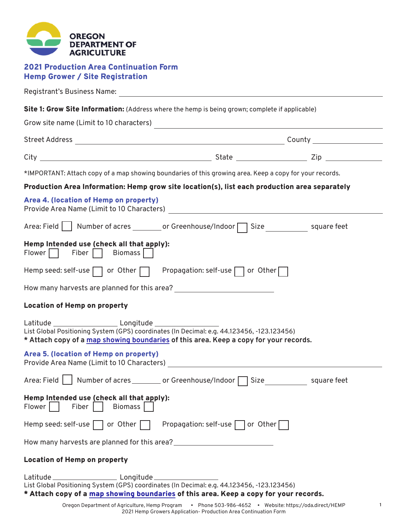| <b>OREGON</b><br><b>DEPARTMENT OF</b><br><b>AGRICULTURE</b>                                             |
|---------------------------------------------------------------------------------------------------------|
| <b>2021 Production Area Continuation Form</b><br><b>Hemp Grower / Site Registration</b>                 |
|                                                                                                         |
| Site 1: Grow Site Information: (Address where the hemp is being grown; complete if applicable)          |
|                                                                                                         |
|                                                                                                         |
| *IMPORTANT: Attach copy of a map showing boundaries of this growing area. Keep a copy for your records. |
| Production Area Information: Hemp grow site location(s), list each production area separately           |
| Area 4. (location of Hemp on property)                                                                  |
| Area: Field   Number of acres _________ or Greenhouse/Indoor   Size ____________ square feet            |
| Hemp Intended use (check all that apply):<br>Flower     Fiber     Biomass                               |
| Hemp seed: self-use   or Other   Propagation: self-use   or Other                                       |
| How many harvests are planned for this area?                                                            |
| <b>Location of Hemp on property</b>                                                                     |
| * Attach copy of a map showing boundaries of this area. Keep a copy for your records.                   |
| Area 5. (location of Hemp on property)                                                                  |
| Area: Field   Number of acres ________ or Greenhouse/Indoor   Size ___________ square feet              |

## **Hemp Intended use (check all that apply):**<br>Flower  $\Box$  Fiber  $\Box$  Biomass  $\Box$  $Fiber$  Biomass

Hemp seed: self-use  $\Box$  or Other  $\Box$  Propagation: self-use  $\Box$  or Other  $\Box$ 

How many harvests are planned for this area?

## Location of Hemp on property

Latitude Longitude List Global Positioning System (GPS) coordinates (In Decimal: e.g. 44.123456, -123.123456) \* Attach copy of a [map showing boundaries](https://oda.fyi/HempMapTool) of this area. Keep a copy for your records.

**1**